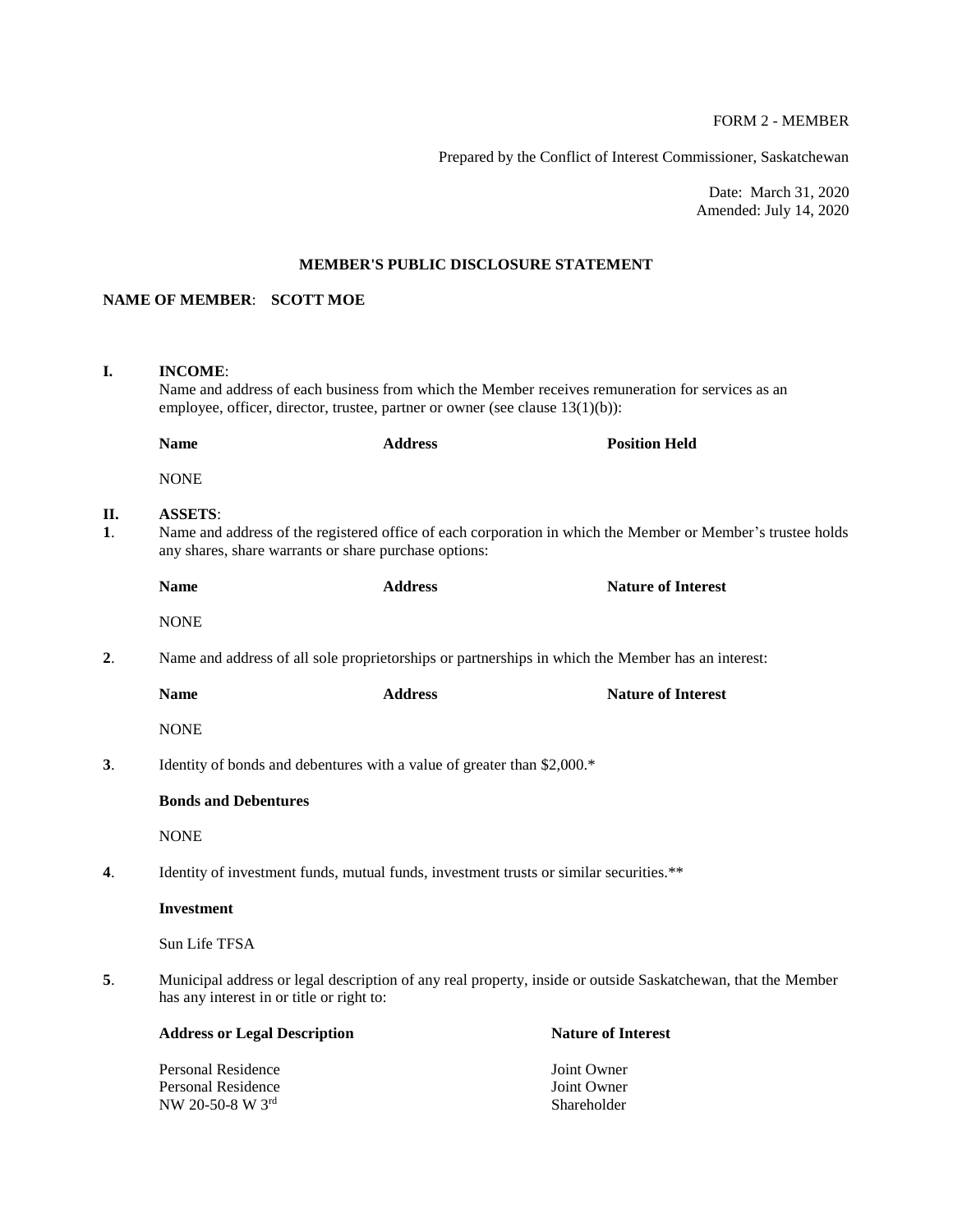# FORM 2 - MEMBER

Prepared by the Conflict of Interest Commissioner, Saskatchewan

Date: March 31, 2020 Amended: July 14, 2020

## **MEMBER'S PUBLIC DISCLOSURE STATEMENT**

# **NAME OF MEMBER**: **SCOTT MOE**

NW 20-50-8 W  $3^{\text{rd}}$ 

| I.                    | <b>INCOME:</b><br>Name and address of each business from which the Member receives remuneration for services as an<br>employee, officer, director, trustee, partner or owner (see clause $13(1)(b)$ ): |                                                                                                   |                                           |  |  |
|-----------------------|--------------------------------------------------------------------------------------------------------------------------------------------------------------------------------------------------------|---------------------------------------------------------------------------------------------------|-------------------------------------------|--|--|
|                       | <b>Name</b>                                                                                                                                                                                            | <b>Address</b>                                                                                    | <b>Position Held</b>                      |  |  |
|                       | <b>NONE</b>                                                                                                                                                                                            |                                                                                                   |                                           |  |  |
| II.<br>$\mathbf{1}$ . | <b>ASSETS:</b><br>Name and address of the registered office of each corporation in which the Member or Member's trustee holds<br>any shares, share warrants or share purchase options:                 |                                                                                                   |                                           |  |  |
|                       | <b>Name</b>                                                                                                                                                                                            | <b>Address</b>                                                                                    | <b>Nature of Interest</b>                 |  |  |
|                       | <b>NONE</b>                                                                                                                                                                                            |                                                                                                   |                                           |  |  |
| 2.                    |                                                                                                                                                                                                        | Name and address of all sole proprietorships or partnerships in which the Member has an interest: |                                           |  |  |
|                       | <b>Name</b>                                                                                                                                                                                            | <b>Address</b>                                                                                    | <b>Nature of Interest</b>                 |  |  |
|                       | <b>NONE</b>                                                                                                                                                                                            |                                                                                                   |                                           |  |  |
| 3.                    | Identity of bonds and debentures with a value of greater than \$2,000.*                                                                                                                                |                                                                                                   |                                           |  |  |
|                       | <b>Bonds and Debentures</b>                                                                                                                                                                            |                                                                                                   |                                           |  |  |
|                       | <b>NONE</b>                                                                                                                                                                                            |                                                                                                   |                                           |  |  |
| 4.                    | Identity of investment funds, mutual funds, investment trusts or similar securities.**                                                                                                                 |                                                                                                   |                                           |  |  |
|                       | <b>Investment</b>                                                                                                                                                                                      |                                                                                                   |                                           |  |  |
|                       | Sun Life TFSA                                                                                                                                                                                          |                                                                                                   |                                           |  |  |
| 5.                    | Municipal address or legal description of any real property, inside or outside Saskatchewan, that the Member<br>has any interest in or title or right to:                                              |                                                                                                   |                                           |  |  |
|                       | <b>Address or Legal Description</b>                                                                                                                                                                    |                                                                                                   | <b>Nature of Interest</b>                 |  |  |
|                       | <b>Personal Residence</b><br><b>Personal Residence</b><br>NW 20-50-8 W 3rd                                                                                                                             |                                                                                                   | Joint Owner<br>Joint Owner<br>Shareholder |  |  |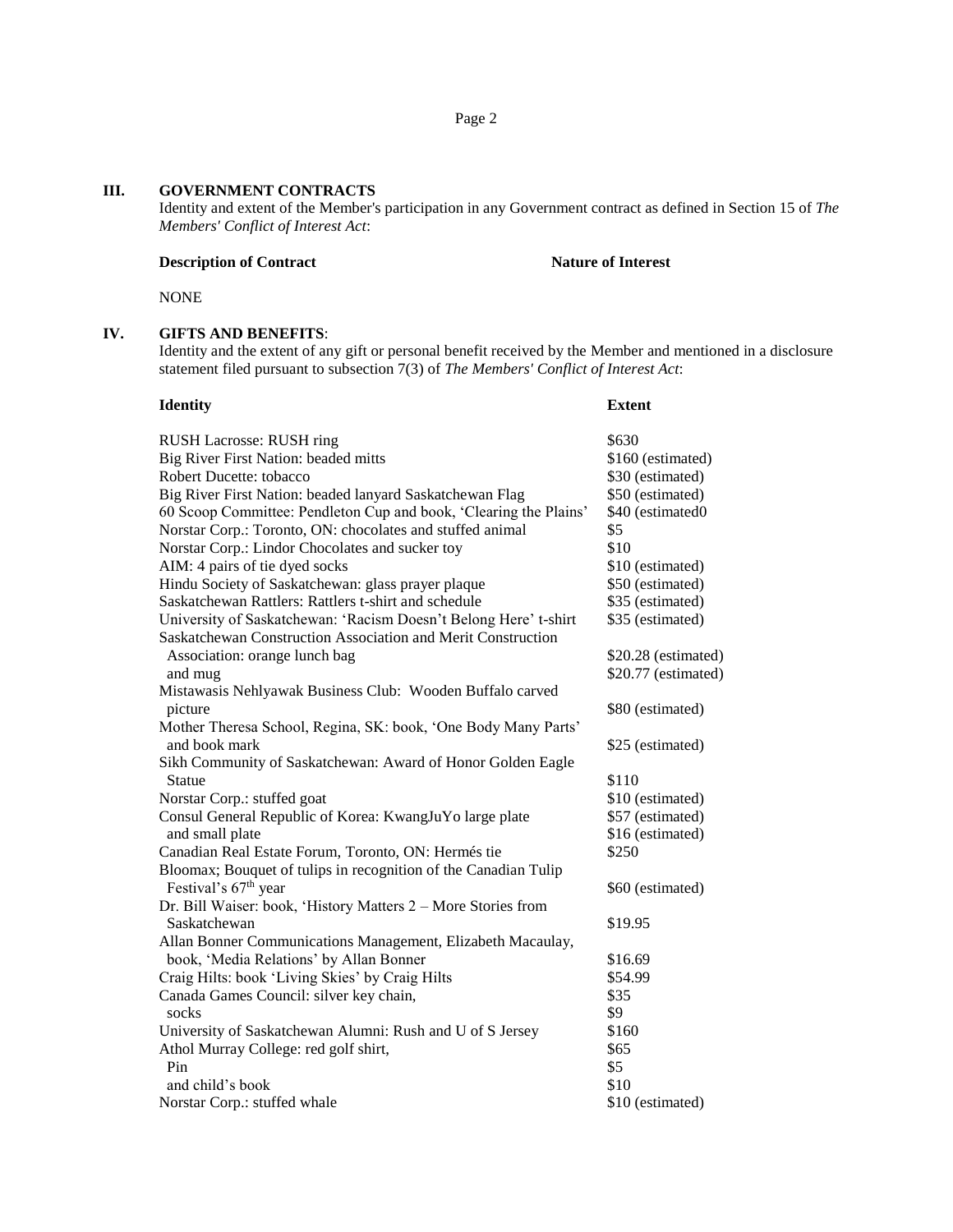# **III. GOVERNMENT CONTRACTS**

Identity and extent of the Member's participation in any Government contract as defined in Section 15 of *The Members' Conflict of Interest Act*:

## **Description of Contract Nature of Interest**

NONE

## **IV. GIFTS AND BENEFITS**:

Identity and the extent of any gift or personal benefit received by the Member and mentioned in a disclosure statement filed pursuant to subsection 7(3) of *The Members' Conflict of Interest Act*:

| <b>Identity</b>                                                   | <b>Extent</b>       |
|-------------------------------------------------------------------|---------------------|
| <b>RUSH Lacrosse: RUSH ring</b>                                   | \$630               |
| Big River First Nation: beaded mitts                              | \$160 (estimated)   |
| Robert Ducette: tobacco                                           | \$30 (estimated)    |
| Big River First Nation: beaded lanyard Saskatchewan Flag          | \$50 (estimated)    |
| 60 Scoop Committee: Pendleton Cup and book, 'Clearing the Plains' | \$40 (estimated0    |
| Norstar Corp.: Toronto, ON: chocolates and stuffed animal         | \$5                 |
| Norstar Corp.: Lindor Chocolates and sucker toy                   | \$10                |
| AIM: 4 pairs of tie dyed socks                                    | \$10 (estimated)    |
| Hindu Society of Saskatchewan: glass prayer plaque                | \$50 (estimated)    |
| Saskatchewan Rattlers: Rattlers t-shirt and schedule              | \$35 (estimated)    |
| University of Saskatchewan: 'Racism Doesn't Belong Here' t-shirt  | \$35 (estimated)    |
| Saskatchewan Construction Association and Merit Construction      |                     |
| Association: orange lunch bag                                     | \$20.28 (estimated) |
| and mug                                                           | \$20.77 (estimated) |
| Mistawasis Nehlyawak Business Club: Wooden Buffalo carved         |                     |
| picture                                                           | \$80 (estimated)    |
| Mother Theresa School, Regina, SK: book, 'One Body Many Parts'    |                     |
| and book mark                                                     | \$25 (estimated)    |
| Sikh Community of Saskatchewan: Award of Honor Golden Eagle       |                     |
| <b>Statue</b>                                                     | \$110               |
| Norstar Corp.: stuffed goat                                       | \$10 (estimated)    |
| Consul General Republic of Korea: KwangJuYo large plate           | \$57 (estimated)    |
| and small plate                                                   | \$16 (estimated)    |
| Canadian Real Estate Forum, Toronto, ON: Hermés tie               | \$250               |
| Bloomax; Bouquet of tulips in recognition of the Canadian Tulip   |                     |
| Festival's 67 <sup>th</sup> year                                  | \$60 (estimated)    |
| Dr. Bill Waiser: book, 'History Matters 2 - More Stories from     |                     |
| Saskatchewan                                                      | \$19.95             |
| Allan Bonner Communications Management, Elizabeth Macaulay,       |                     |
| book, 'Media Relations' by Allan Bonner                           | \$16.69             |
| Craig Hilts: book 'Living Skies' by Craig Hilts                   | \$54.99             |
| Canada Games Council: silver key chain,                           | \$35                |
| socks                                                             | \$9                 |
| University of Saskatchewan Alumni: Rush and U of S Jersey         | \$160               |
| Athol Murray College: red golf shirt,                             | \$65                |
| Pin                                                               | \$5                 |
| and child's book                                                  | \$10                |
| Norstar Corp.: stuffed whale                                      | \$10 (estimated)    |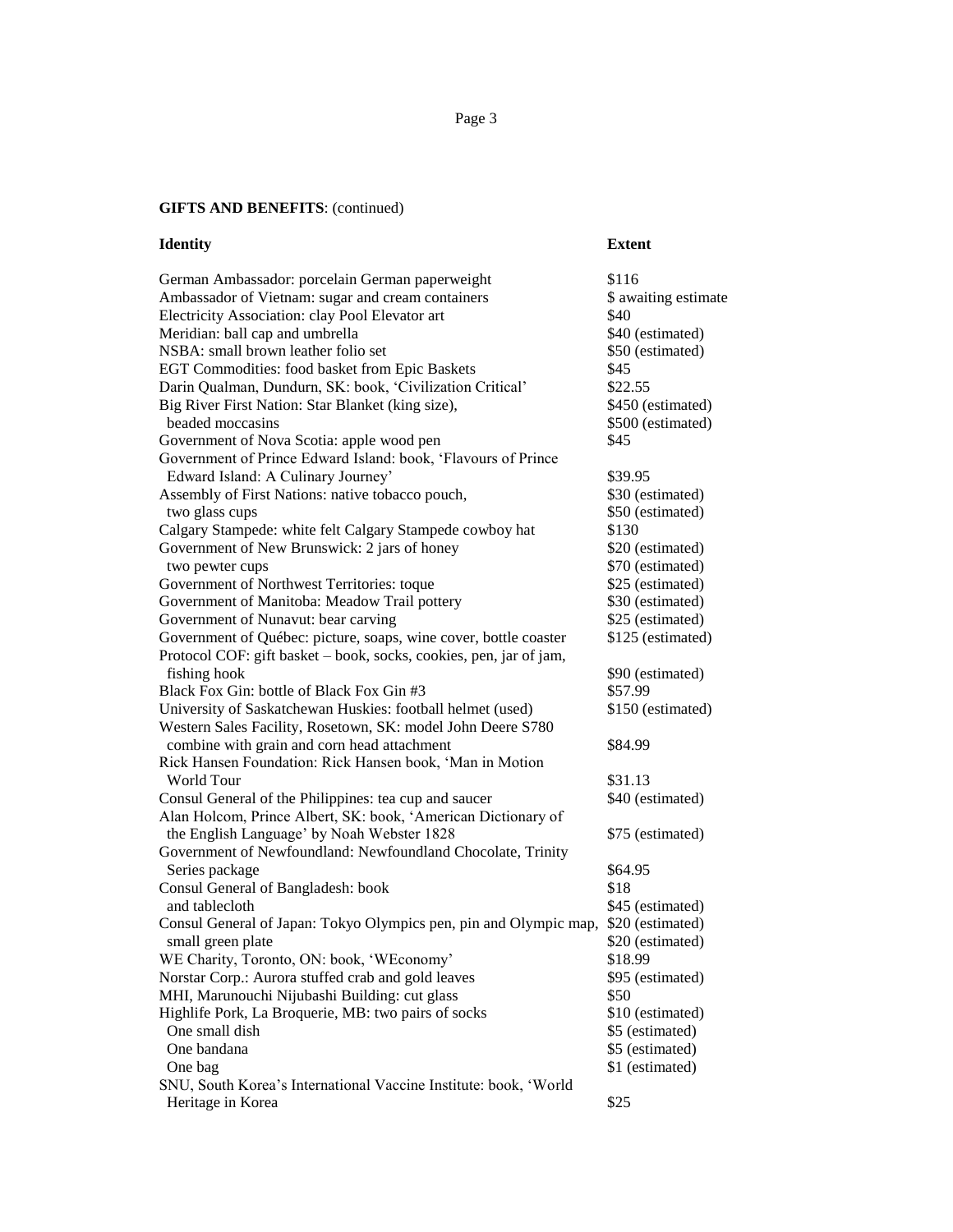#### **GIFTS AND BENEFITS**: (continued)

# **Identity Extent** German Ambassador: porcelain German paperweight \$116 Ambassador of Vietnam: sugar and cream containers \$ awaiting estimate Electricity Association: clay Pool Elevator art  $$40$ Meridian: ball cap and umbrella  $$40$  (estimated) NSBA: small brown leather folio set \$50 (estimated) EGT Commodities: food basket from Epic Baskets \$45 Darin Qualman, Dundurn, SK: book, 'Civilization Critical' \$22.55 Big River First Nation: Star Blanket (king size), \$450 (estimated) beaded moccasins  $$500$  (estimated) Government of Nova Scotia: apple wood pen  $$45$ Government of Prince Edward Island: book, 'Flavours of Prince Edward Island: A Culinary Journey'  $$39.95$ Assembly of First Nations: native tobacco pouch, \$30 (estimated) two glass cups  $$50$  (estimated) Calgary Stampede: white felt Calgary Stampede cowboy hat \$130 Government of New Brunswick: 2 jars of honey \$20 (estimated) two pewter cups  $\degree$  \$70 (estimated) Government of Northwest Territories: toque \$25 (estimated) Government of Manitoba: Meadow Trail pottery \$30 (estimated) Government of Nunavut: bear carving  $$25$  (estimated) Government of Québec: picture, soaps, wine cover, bottle coaster \$125 (estimated) Protocol COF: gift basket – book, socks, cookies, pen, jar of jam, fishing hook  $\degree$  \$90 (estimated) Black Fox Gin: bottle of Black Fox Gin #3 \$57.99 University of Saskatchewan Huskies: football helmet (used) \$150 (estimated) Western Sales Facility, Rosetown, SK: model John Deere S780 combine with grain and corn head attachment \$84.99 Rick Hansen Foundation: Rick Hansen book, 'Man in Motion World Tour \$31.13 Consul General of the Philippines: tea cup and saucer \$40 (estimated) Alan Holcom, Prince Albert, SK: book, 'American Dictionary of the English Language' by Noah Webster 1828 \$75 (estimated) Government of Newfoundland: Newfoundland Chocolate, Trinity Series package  $\$64.95$ Consul General of Bangladesh: book \$18 and tablecloth  $\$45$  (estimated) Consul General of Japan: Tokyo Olympics pen, pin and Olympic map, \$20 (estimated) small green plate  $$20$  (estimated) WE Charity, Toronto, ON: book, 'WEconomy' \$18.99 Norstar Corp.: Aurora stuffed crab and gold leaves \$95 (estimated) MHI, Marunouchi Nijubashi Building: cut glass  $$50$ Highlife Pork, La Broquerie, MB: two pairs of socks \$10 (estimated) One small dish  $\$5$  (estimated) One bandana  $\$5$  (estimated) One bag \$1 (estimated) SNU, South Korea's International Vaccine Institute: book, 'World Heritage in Korea  $$25$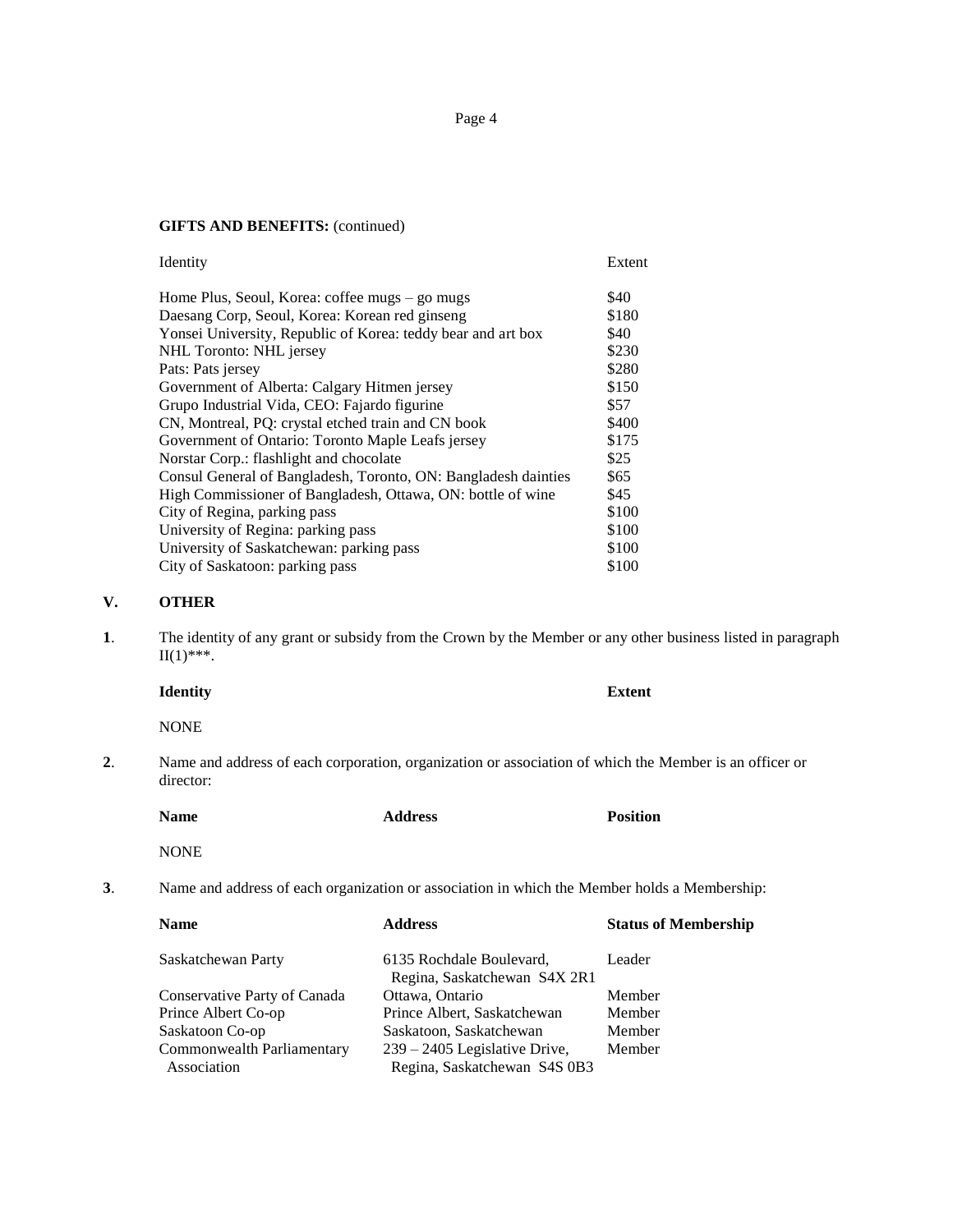Page 4

# **GIFTS AND BENEFITS:** (continued)

| Extent |
|--------|
| \$40   |
| \$180  |
| \$40   |
| \$230  |
| \$280  |
| \$150  |
| \$57   |
| \$400  |
| \$175  |
| \$25   |
| \$65   |
| \$45   |
| \$100  |
| \$100  |
| \$100  |
| \$100  |
|        |

# **V. OTHER**

**1**. The identity of any grant or subsidy from the Crown by the Member or any other business listed in paragraph  $II(1)$ \*\*\*.

|    | <b>Identity</b>                                                                                                     |                | <b>Extent</b>               |  |
|----|---------------------------------------------------------------------------------------------------------------------|----------------|-----------------------------|--|
|    | <b>NONE</b>                                                                                                         |                |                             |  |
| 2. | Name and address of each corporation, organization or association of which the Member is an officer or<br>director: |                |                             |  |
|    | <b>Name</b>                                                                                                         | <b>Address</b> | <b>Position</b>             |  |
|    | <b>NONE</b>                                                                                                         |                |                             |  |
| 3. | Name and address of each organization or association in which the Member holds a Membership:                        |                |                             |  |
|    | <b>Name</b>                                                                                                         | <b>Address</b> | <b>Status of Membership</b> |  |
|    |                                                                                                                     |                |                             |  |

| Saskatchewan Party           | 6135 Rochdale Boulevard,<br>Regina, Saskatchewan S4X 2R1 | Leader |
|------------------------------|----------------------------------------------------------|--------|
| Conservative Party of Canada | Ottawa, Ontario                                          | Member |
| Prince Albert Co-op          | Prince Albert, Saskatchewan                              | Member |
| Saskatoon Co-op              | Saskatoon, Saskatchewan                                  | Member |
| Commonwealth Parliamentary   | $239 - 2405$ Legislative Drive,                          | Member |
| Association                  | Regina, Saskatchewan S4S 0B3                             |        |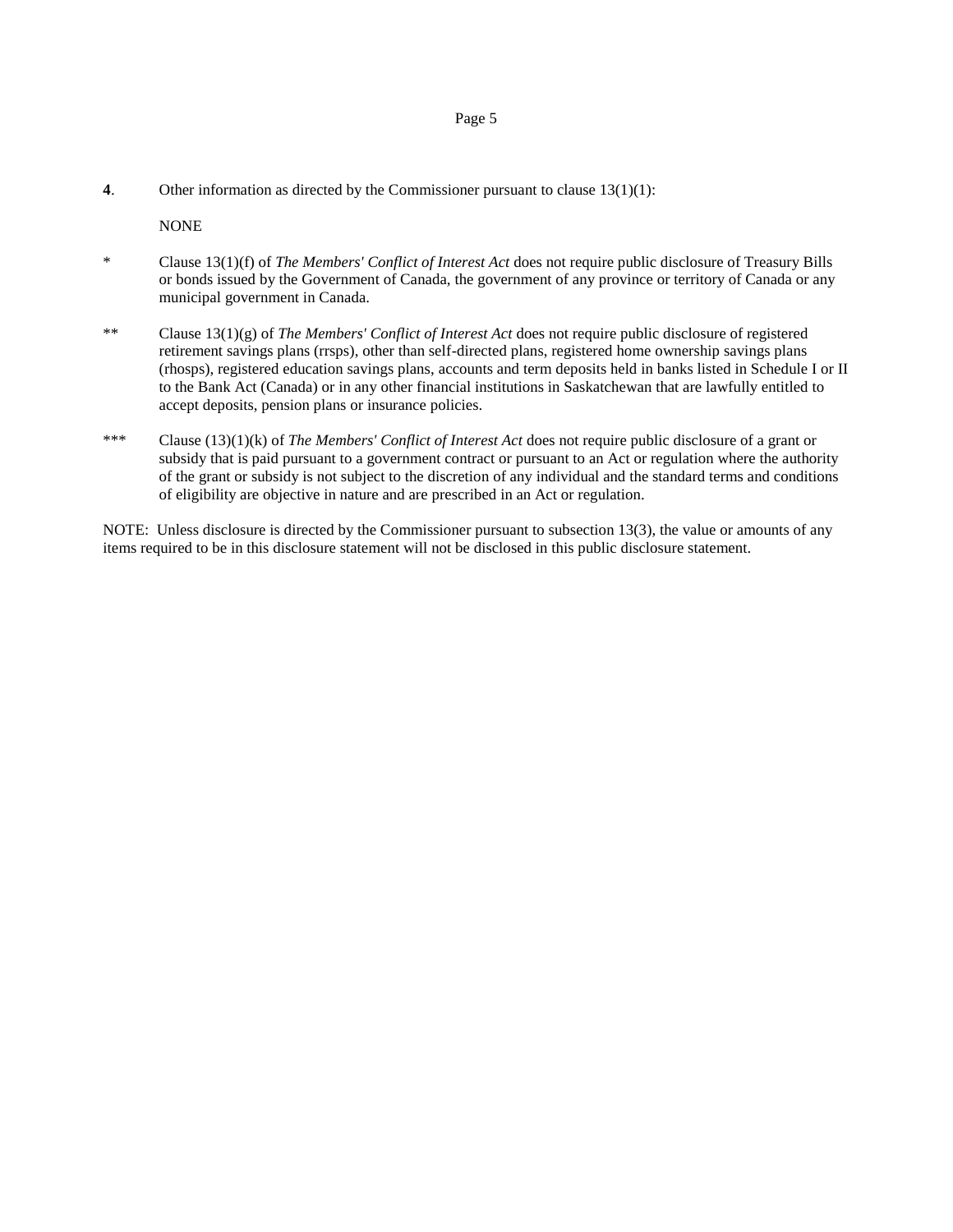#### Page 5

**4**. Other information as directed by the Commissioner pursuant to clause 13(1)(1):

NONE

- \* Clause 13(1)(f) of *The Members' Conflict of Interest Act* does not require public disclosure of Treasury Bills or bonds issued by the Government of Canada, the government of any province or territory of Canada or any municipal government in Canada.
- \*\* Clause 13(1)(g) of *The Members' Conflict of Interest Act* does not require public disclosure of registered retirement savings plans (rrsps), other than self-directed plans, registered home ownership savings plans (rhosps), registered education savings plans, accounts and term deposits held in banks listed in Schedule I or II to the Bank Act (Canada) or in any other financial institutions in Saskatchewan that are lawfully entitled to accept deposits, pension plans or insurance policies.
- \*\*\* Clause (13)(1)(k) of *The Members' Conflict of Interest Act* does not require public disclosure of a grant or subsidy that is paid pursuant to a government contract or pursuant to an Act or regulation where the authority of the grant or subsidy is not subject to the discretion of any individual and the standard terms and conditions of eligibility are objective in nature and are prescribed in an Act or regulation.

NOTE: Unless disclosure is directed by the Commissioner pursuant to subsection 13(3), the value or amounts of any items required to be in this disclosure statement will not be disclosed in this public disclosure statement.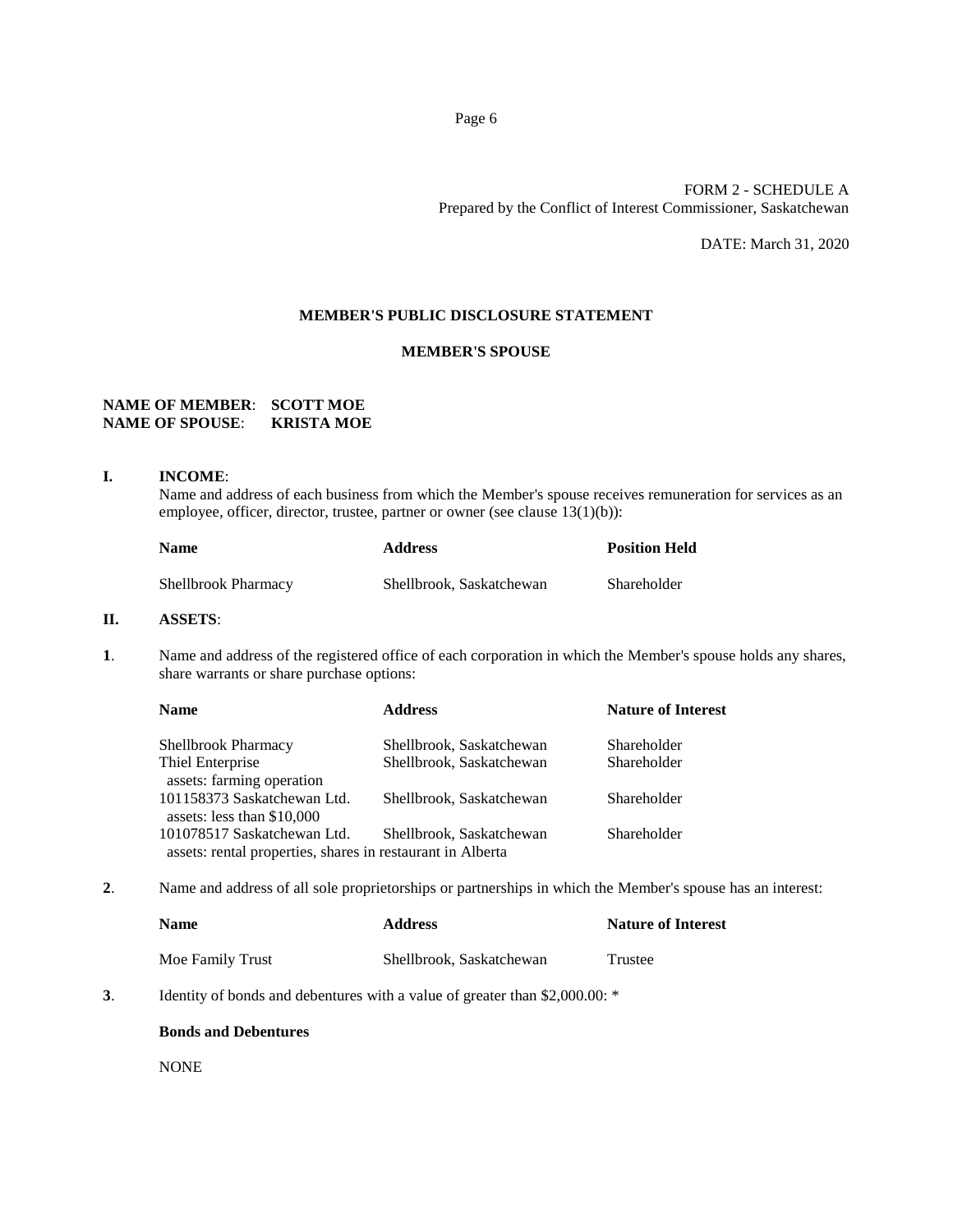## FORM 2 - SCHEDULE A Prepared by the Conflict of Interest Commissioner, Saskatchewan

DATE: March 31, 2020

## **MEMBER'S PUBLIC DISCLOSURE STATEMENT**

## **MEMBER'S SPOUSE**

## **NAME OF MEMBER**: **SCOTT MOE NAME OF SPOUSE**: **KRISTA MOE**

#### **I. INCOME**:

Name and address of each business from which the Member's spouse receives remuneration for services as an employee, officer, director, trustee, partner or owner (see clause 13(1)(b)):

| <b>Name</b>                | <b>Address</b>           | <b>Position Held</b> |
|----------------------------|--------------------------|----------------------|
| <b>Shellbrook Pharmacy</b> | Shellbrook, Saskatchewan | Shareholder          |

## **II. ASSETS**:

**1**. Name and address of the registered office of each corporation in which the Member's spouse holds any shares, share warrants or share purchase options:

| <b>Name</b>                                                | <b>Address</b>           | <b>Nature of Interest</b> |
|------------------------------------------------------------|--------------------------|---------------------------|
| <b>Shellbrook Pharmacy</b>                                 | Shellbrook, Saskatchewan | Shareholder               |
| Thiel Enterprise<br>assets: farming operation              | Shellbrook, Saskatchewan | Shareholder               |
| 101158373 Saskatchewan Ltd.                                | Shellbrook, Saskatchewan | Shareholder               |
| assets: less than \$10,000<br>101078517 Saskatchewan Ltd.  | Shellbrook, Saskatchewan | Shareholder               |
| assets: rental properties, shares in restaurant in Alberta |                          |                           |

**2**. Name and address of all sole proprietorships or partnerships in which the Member's spouse has an interest:

| Name             | <b>Address</b>           | <b>Nature of Interest</b> |
|------------------|--------------------------|---------------------------|
| Moe Family Trust | Shellbrook, Saskatchewan | Trustee                   |

**3**. Identity of bonds and debentures with a value of greater than \$2,000.00: \*

#### **Bonds and Debentures**

NONE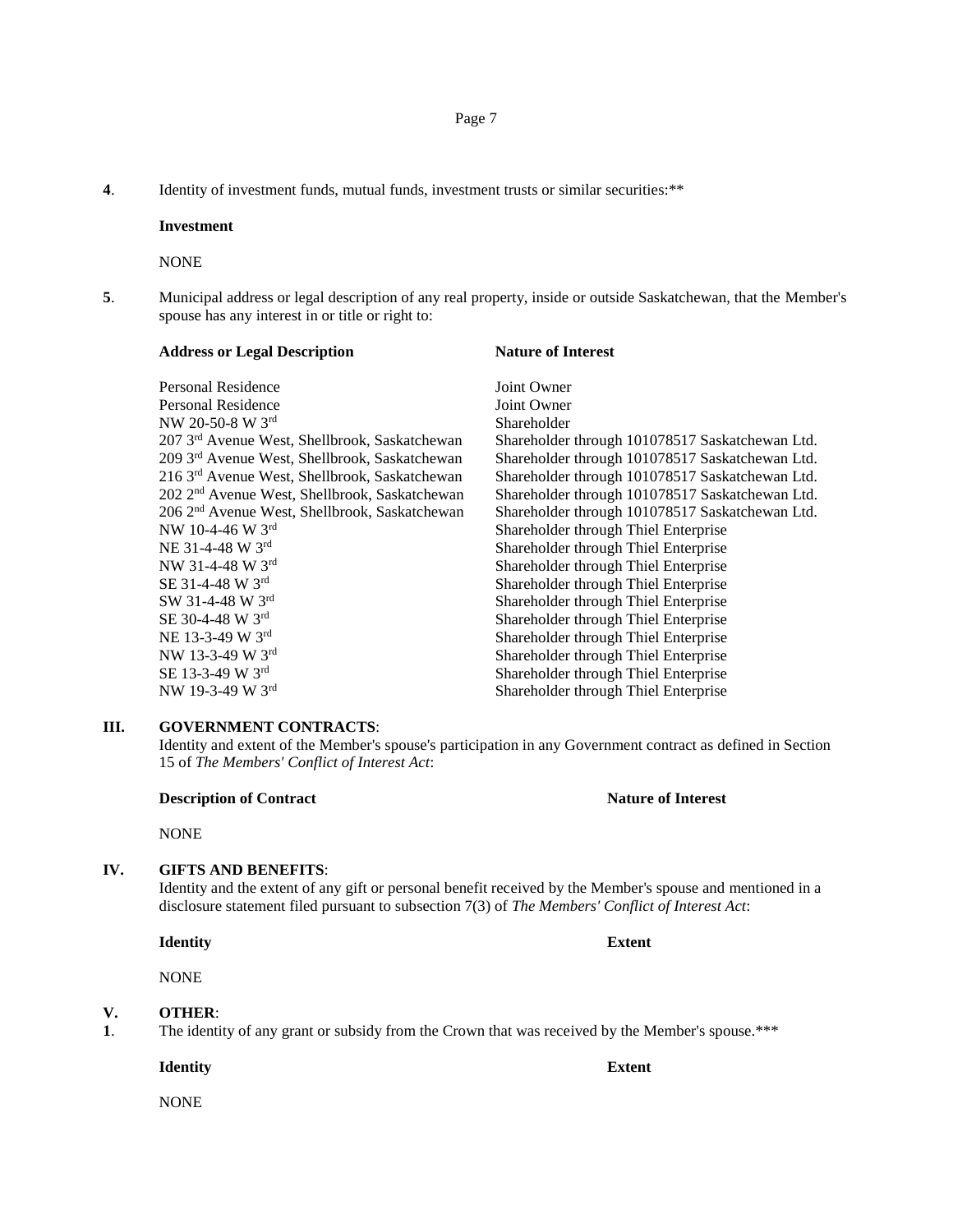**4**. Identity of investment funds, mutual funds, investment trusts or similar securities:\*\*

#### **Investment**

NONE

**5**. Municipal address or legal description of any real property, inside or outside Saskatchewan, that the Member's spouse has any interest in or title or right to:

| <b>Address or Legal Description</b>                       | <b>Nature of Interest</b>                       |
|-----------------------------------------------------------|-------------------------------------------------|
| Personal Residence                                        | Joint Owner                                     |
| Personal Residence                                        | Joint Owner                                     |
| NW 20-50-8 W 3rd                                          | Shareholder                                     |
| 207 3rd Avenue West, Shellbrook, Saskatchewan             | Shareholder through 101078517 Saskatchewan Ltd. |
| 209 3rd Avenue West, Shellbrook, Saskatchewan             | Shareholder through 101078517 Saskatchewan Ltd. |
| 216 3rd Avenue West, Shellbrook, Saskatchewan             | Shareholder through 101078517 Saskatchewan Ltd. |
| 202 2 <sup>nd</sup> Avenue West, Shellbrook, Saskatchewan | Shareholder through 101078517 Saskatchewan Ltd. |
| 206 2 <sup>nd</sup> Avenue West, Shellbrook, Saskatchewan | Shareholder through 101078517 Saskatchewan Ltd. |
| NW 10-4-46 W $3rd$                                        | Shareholder through Thiel Enterprise            |
| NE 31-4-48 W 3rd                                          | Shareholder through Thiel Enterprise            |
| NW 31-4-48 W 3rd                                          | Shareholder through Thiel Enterprise            |
| SE 31-4-48 W 3rd                                          | Shareholder through Thiel Enterprise            |
| SW 31-4-48 W 3rd                                          | Shareholder through Thiel Enterprise            |
| SE 30-4-48 W 3rd                                          | Shareholder through Thiel Enterprise            |
| NE 13-3-49 W 3rd                                          | Shareholder through Thiel Enterprise            |
| NW 13-3-49 W 3rd                                          | Shareholder through Thiel Enterprise            |
| SE 13-3-49 W 3rd                                          | Shareholder through Thiel Enterprise            |
| NW 19-3-49 W 3rd                                          | Shareholder through Thiel Enterprise            |
|                                                           |                                                 |

#### **III. GOVERNMENT CONTRACTS**:

Identity and extent of the Member's spouse's participation in any Government contract as defined in Section 15 of *The Members' Conflict of Interest Act*:

## **Description of Contract Nature of Interest**

NONE

#### **IV. GIFTS AND BENEFITS**:

Identity and the extent of any gift or personal benefit received by the Member's spouse and mentioned in a disclosure statement filed pursuant to subsection 7(3) of *The Members' Conflict of Interest Act*:

**Identity Extent**

NONE

#### **V. OTHER**:

**1**. The identity of any grant or subsidy from the Crown that was received by the Member's spouse.\*\*\*

**Identity Extent**

NONE